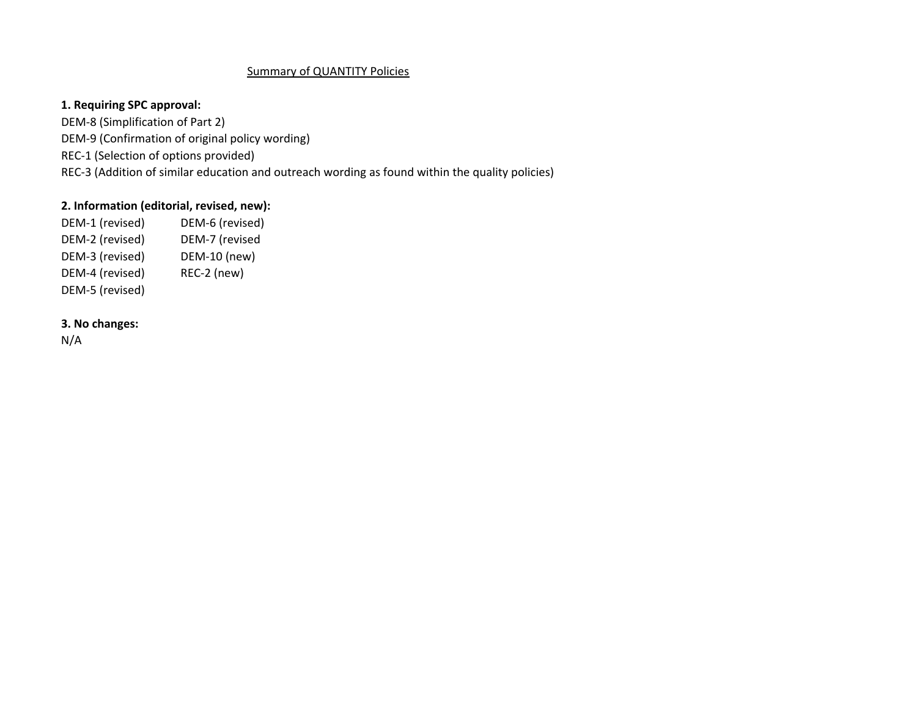## Summary of QUANTITY Policies

## **1. Requiring SPC approval:**

DEM‐8 (Simplification of Part 2) DEM‐9 (Confirmation of original policy wording) REC‐1 (Selection of options provided) REC‐3 (Addition of similar education and outreach wording as found within the quality policies)

## **2. Information (editorial, revised, new):**

DEM-1 (revised) DEM-6 (revised) DEM-2 (revised) DEM-7 (revised DEM-3 (revised) DEM-10 (new) DEM-4 (revised) REC-2 (new) DEM‐5 (revised)

## **3. No changes:**

N/A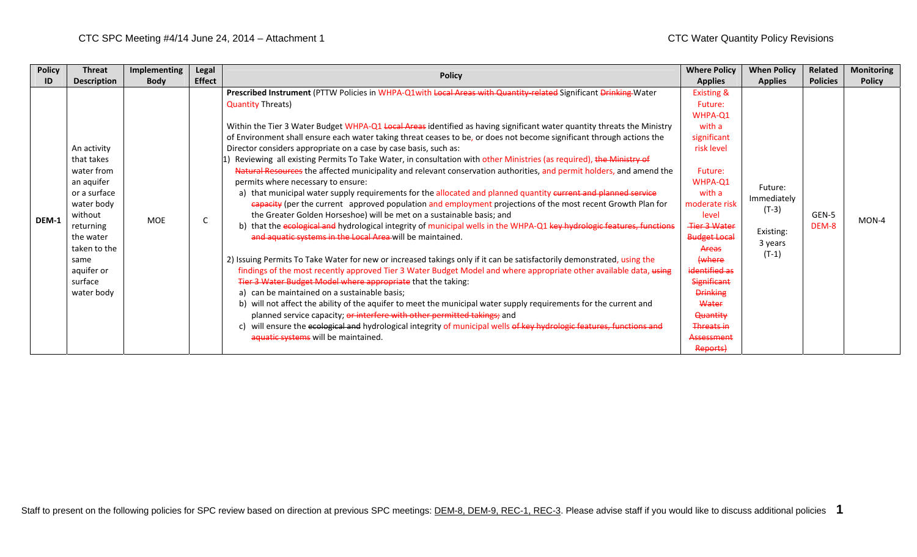| <b>Policy</b> | <b>Threat</b>      | <b>Implementing</b> | Legal                               | <b>Policy</b>                                                                                                                                                                                                                                                                                          | <b>Where Policy</b>   | <b>When Policy</b> | Related         | <b>Monitoring</b> |
|---------------|--------------------|---------------------|-------------------------------------|--------------------------------------------------------------------------------------------------------------------------------------------------------------------------------------------------------------------------------------------------------------------------------------------------------|-----------------------|--------------------|-----------------|-------------------|
| ID            | <b>Description</b> | <b>Body</b>         | <b>Effect</b>                       |                                                                                                                                                                                                                                                                                                        | <b>Applies</b>        | <b>Applies</b>     | <b>Policies</b> | <b>Policy</b>     |
|               |                    |                     |                                     | Prescribed Instrument (PTTW Policies in WHPA-Q1with Local Areas with Quantity-related Significant Drinking Water                                                                                                                                                                                       | <b>Existing &amp;</b> |                    |                 |                   |
|               |                    |                     |                                     | <b>Quantity Threats)</b>                                                                                                                                                                                                                                                                               | Future:               |                    |                 |                   |
|               |                    |                     |                                     |                                                                                                                                                                                                                                                                                                        | WHPA-Q1               |                    |                 |                   |
|               |                    |                     |                                     | Within the Tier 3 Water Budget WHPA-Q1 Local Areas identified as having significant water quantity threats the Ministry                                                                                                                                                                                | with a                |                    |                 |                   |
|               |                    |                     |                                     | of Environment shall ensure each water taking threat ceases to be, or does not become significant through actions the                                                                                                                                                                                  | significant           |                    |                 |                   |
|               | An activity        |                     |                                     | Director considers appropriate on a case by case basis, such as:                                                                                                                                                                                                                                       | risk level            |                    |                 |                   |
|               | that takes         |                     |                                     | Reviewing all existing Permits To Take Water, in consultation with other Ministries (as required), the Ministry of                                                                                                                                                                                     |                       |                    |                 |                   |
|               | water from         |                     |                                     | Natural Resources the affected municipality and relevant conservation authorities, and permit holders, and amend the                                                                                                                                                                                   | Future:               |                    |                 |                   |
|               | an aquifer         |                     |                                     | permits where necessary to ensure:                                                                                                                                                                                                                                                                     | WHPA-Q1               | Future:            |                 |                   |
|               | or a surface       |                     |                                     | a) that municipal water supply requirements for the allocated and planned quantity eurrent and planned service<br>capacity (per the current approved population and employment projections of the most recent Growth Plan for<br>the Greater Golden Horseshoe) will be met on a sustainable basis; and | with a                | Immediately        |                 |                   |
|               | water body         |                     |                                     |                                                                                                                                                                                                                                                                                                        | moderate risk         | $(T-3)$            |                 |                   |
| DEM-1         | without            | <b>MOE</b>          |                                     |                                                                                                                                                                                                                                                                                                        | level                 |                    | GEN-5           | MON-4             |
|               | returning          |                     |                                     | b) that the ecological and hydrological integrity of municipal wells in the WHPA-Q1 key hydrologic features, functions                                                                                                                                                                                 | <b>Tier 3 Water</b>   | Existing:          | DEM-8           |                   |
|               | the water          |                     |                                     | and aquatic systems in the Local Area will be maintained.                                                                                                                                                                                                                                              | <b>Budget Local</b>   | 3 years            |                 |                   |
|               | taken to the       |                     |                                     |                                                                                                                                                                                                                                                                                                        | Areas                 | $(T-1)$            |                 |                   |
|               | same               |                     |                                     | 2) Issuing Permits To Take Water for new or increased takings only if it can be satisfactorily demonstrated, using the                                                                                                                                                                                 | <b>{where</b>         |                    |                 |                   |
|               | aquifer or         |                     |                                     | findings of the most recently approved Tier 3 Water Budget Model and where appropriate other available data, using                                                                                                                                                                                     | identified as         |                    |                 |                   |
|               | surface            |                     |                                     | Tier 3 Water Budget Model where appropriate that the taking:                                                                                                                                                                                                                                           | Significant           |                    |                 |                   |
|               | water body         |                     |                                     | a) can be maintained on a sustainable basis;                                                                                                                                                                                                                                                           | <b>Drinking</b>       |                    |                 |                   |
|               |                    |                     |                                     | b) will not affect the ability of the aquifer to meet the municipal water supply requirements for the current and                                                                                                                                                                                      | Water                 |                    |                 |                   |
|               |                    |                     |                                     | planned service capacity; or interfere with other permitted takings; and                                                                                                                                                                                                                               | <b>Quantity</b>       |                    |                 |                   |
|               |                    |                     |                                     | will ensure the ecological and hydrological integrity of municipal wells of key hydrologic features, functions and<br>c)                                                                                                                                                                               | <b>Threats in</b>     |                    |                 |                   |
|               |                    |                     | aquatic systems will be maintained. | Assessment                                                                                                                                                                                                                                                                                             |                       |                    |                 |                   |
|               |                    |                     |                                     |                                                                                                                                                                                                                                                                                                        | Reports)              |                    |                 |                   |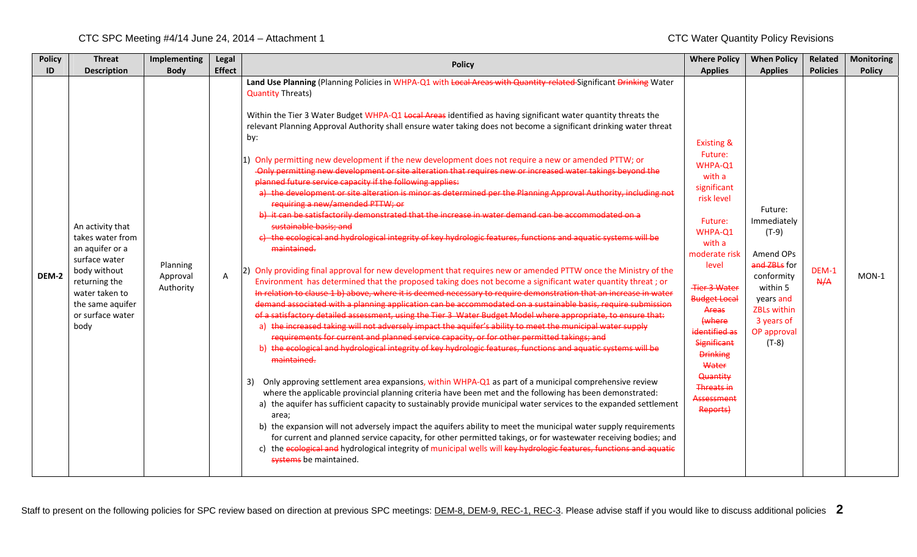| <b>Policy</b> | <b>Threat</b>                                                                                                                                                               | Implementing                      | <b>Legal</b>  | <b>Policy</b>                                                                                                                                                                                                                                                                                                                                                                                                                                                                                                                                                                                                                                                                                                                                                                                                                                                                                                                                                                                                                                                                                                                                                                                                                                                                                                                                                                                                                                                                                                                                                                                                                                                                                                                                                                                                                                                                                                                                                                                                                                                                                                                                                                                                                                                                                                                                                                                                                                                                                                                                                                                                                                                                                                                                                                                  | <b>Where Policy</b>                                                                                                                                                                                                                                                                                                                         | <b>When Policy</b>                                                                                                                                           | Related         | <b>Monitoring</b> |
|---------------|-----------------------------------------------------------------------------------------------------------------------------------------------------------------------------|-----------------------------------|---------------|------------------------------------------------------------------------------------------------------------------------------------------------------------------------------------------------------------------------------------------------------------------------------------------------------------------------------------------------------------------------------------------------------------------------------------------------------------------------------------------------------------------------------------------------------------------------------------------------------------------------------------------------------------------------------------------------------------------------------------------------------------------------------------------------------------------------------------------------------------------------------------------------------------------------------------------------------------------------------------------------------------------------------------------------------------------------------------------------------------------------------------------------------------------------------------------------------------------------------------------------------------------------------------------------------------------------------------------------------------------------------------------------------------------------------------------------------------------------------------------------------------------------------------------------------------------------------------------------------------------------------------------------------------------------------------------------------------------------------------------------------------------------------------------------------------------------------------------------------------------------------------------------------------------------------------------------------------------------------------------------------------------------------------------------------------------------------------------------------------------------------------------------------------------------------------------------------------------------------------------------------------------------------------------------------------------------------------------------------------------------------------------------------------------------------------------------------------------------------------------------------------------------------------------------------------------------------------------------------------------------------------------------------------------------------------------------------------------------------------------------------------------------------------------------|---------------------------------------------------------------------------------------------------------------------------------------------------------------------------------------------------------------------------------------------------------------------------------------------------------------------------------------------|--------------------------------------------------------------------------------------------------------------------------------------------------------------|-----------------|-------------------|
| ID            | <b>Description</b>                                                                                                                                                          | <b>Body</b>                       | <b>Effect</b> |                                                                                                                                                                                                                                                                                                                                                                                                                                                                                                                                                                                                                                                                                                                                                                                                                                                                                                                                                                                                                                                                                                                                                                                                                                                                                                                                                                                                                                                                                                                                                                                                                                                                                                                                                                                                                                                                                                                                                                                                                                                                                                                                                                                                                                                                                                                                                                                                                                                                                                                                                                                                                                                                                                                                                                                                | <b>Applies</b>                                                                                                                                                                                                                                                                                                                              | <b>Applies</b>                                                                                                                                               | <b>Policies</b> | <b>Policy</b>     |
| DEM-2         | An activity that<br>takes water from<br>an aquifer or a<br>surface water<br>body without<br>returning the<br>water taken to<br>the same aquifer<br>or surface water<br>body | Planning<br>Approval<br>Authority | $\mathsf{A}$  | Land Use Planning (Planning Policies in WHPA-Q1 with Local Areas with Quantity-related Significant Drinking Water<br><b>Quantity Threats)</b><br>Within the Tier 3 Water Budget WHPA-Q1 Local Areas identified as having significant water quantity threats the<br>relevant Planning Approval Authority shall ensure water taking does not become a significant drinking water threat<br>by:<br>1) Only permitting new development if the new development does not require a new or amended PTTW; or<br>-Only permitting new development or site alteration that requires new or increased water takings beyond the<br>planned future service capacity if the following applies:<br>a) the development or site alteration is minor as determined per the Planning Approval Authority, including not<br>requiring a new/amended PTTW; or<br>b) it can be satisfactorily demonstrated that the increase in water demand can be accommodated on a<br>sustainable basis; and<br>c) the ecological and hydrological integrity of key hydrologic features, functions and aquatic systems will be<br>maintained.<br>[2] Only providing final approval for new development that requires new or amended PTTW once the Ministry of the<br>Environment has determined that the proposed taking does not become a significant water quantity threat; or<br>In relation to clause 1 b) above, where it is deemed necessary to require demonstration that an increase in water<br>demand associated with a planning application can be accommodated on a sustainable basis, require submission<br>of a satisfactory detailed assessment, using the Tier 3 Water Budget Model where appropriate, to ensure that:<br>a) the increased taking will not adversely impact the aquifer's ability to meet the municipal water supply<br>requirements for current and planned service capacity, or for other permitted takings; and<br>b) the ecological and hydrological integrity of key hydrologic features, functions and aquatic systems will be<br>maintained.<br>Only approving settlement area expansions, within WHPA-Q1 as part of a municipal comprehensive review<br>3)<br>where the applicable provincial planning criteria have been met and the following has been demonstrated:<br>a) the aquifer has sufficient capacity to sustainably provide municipal water services to the expanded settlement<br>area;<br>b) the expansion will not adversely impact the aquifers ability to meet the municipal water supply requirements<br>for current and planned service capacity, for other permitted takings, or for wastewater receiving bodies; and<br>c) the ecological and hydrological integrity of municipal wells will key hydrologic features, functions and aquatic<br>systems be maintained. | <b>Existing &amp;</b><br>Future:<br>WHPA-Q1<br>with a<br>significant<br>risk level<br>Future:<br>WHPA-Q1<br>with a<br>moderate risk<br>level<br><b>Tier 3 Water</b><br><b>Budget Local</b><br>Areas<br>(where<br>identified as<br><b>Significant</b><br><b>Drinking</b><br>Water<br>Quantity<br><b>Threats in</b><br>Assessment<br>Reports) | Future:<br>Immediately<br>$(T-9)$<br>Amend OPs<br>and ZBLs for<br>conformity<br>within 5<br>years and<br>ZBLs within<br>3 years of<br>OP approval<br>$(T-8)$ | DEM-1<br>A/A    | $MON-1$           |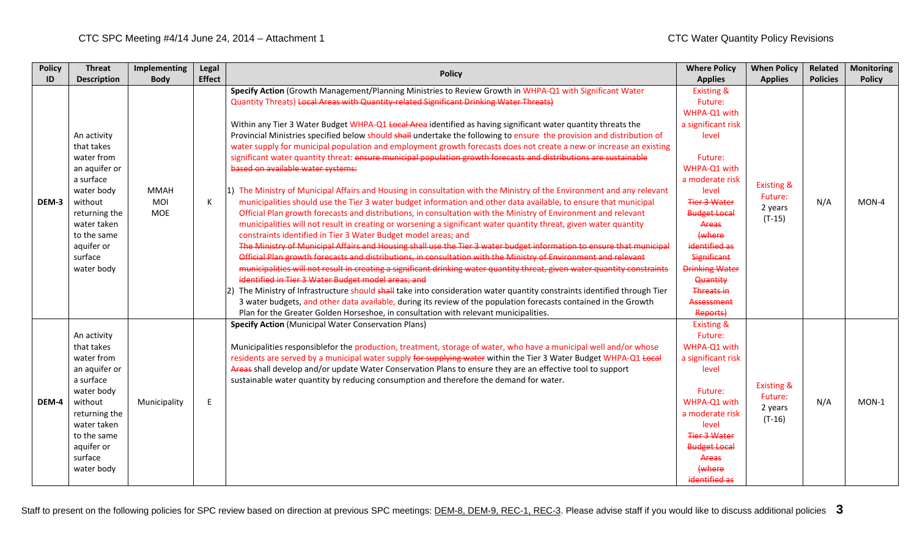| <b>Policy</b> | <b>Threat</b>      | Implementing | Legal         | <b>Policy</b>                                                                                                             | <b>Where Policy</b>   | <b>When Policy</b>    | Related         | <b>Monitoring</b> |
|---------------|--------------------|--------------|---------------|---------------------------------------------------------------------------------------------------------------------------|-----------------------|-----------------------|-----------------|-------------------|
| ID            | <b>Description</b> | <b>Body</b>  | <b>Effect</b> |                                                                                                                           | <b>Applies</b>        | <b>Applies</b>        | <b>Policies</b> | <b>Policy</b>     |
|               |                    |              |               | Specify Action (Growth Management/Planning Ministries to Review Growth in WHPA-Q1 with Significant Water                  | <b>Existing &amp;</b> |                       |                 |                   |
|               |                    |              |               | Quantity Threats) Local Areas with Quantity-related Significant Drinking Water Threats)                                   | Future:               |                       |                 |                   |
|               |                    |              |               |                                                                                                                           | WHPA-Q1 with          |                       |                 |                   |
|               |                    |              |               | Within any Tier 3 Water Budget WHPA-Q1 Local Area identified as having significant water quantity threats the             | a significant risk    |                       |                 |                   |
|               | An activity        |              |               | Provincial Ministries specified below should shall undertake the following to ensure the provision and distribution of    | level                 |                       |                 |                   |
|               | that takes         |              |               | water supply for municipal population and employment growth forecasts does not create a new or increase an existing       |                       |                       |                 |                   |
|               | water from         |              |               | significant water quantity threat: ensure municipal population growth forecasts and distributions are sustainable         | Future:               |                       |                 |                   |
|               | an aquifer or      |              |               | based on available water systems:                                                                                         | WHPA-Q1 with          |                       |                 |                   |
|               | a surface          |              |               |                                                                                                                           | a moderate risk       | <b>Existing &amp;</b> |                 |                   |
|               | water body         | MMAH         |               | 1) The Ministry of Municipal Affairs and Housing in consultation with the Ministry of the Environment and any relevant    | level                 | Future:               |                 |                   |
| DEM-3         | without            | MOI          | К             | municipalities should use the Tier 3 water budget information and other data available, to ensure that municipal          | <b>Tier 3 Water</b>   | 2 years               | N/A             | $MON-4$           |
|               | returning the      | <b>MOE</b>   |               | Official Plan growth forecasts and distributions, in consultation with the Ministry of Environment and relevant           | <b>Budget Local</b>   | $(T-15)$              |                 |                   |
|               | water taken        |              |               | municipalities will not result in creating or worsening a significant water quantity threat, given water quantity         | Areas                 |                       |                 |                   |
|               | to the same        |              |               | constraints identified in Tier 3 Water Budget model areas; and                                                            | (where                |                       |                 |                   |
|               | aquifer or         |              |               | The Ministry of Municipal Affairs and Housing shall use the Tier 3 water budget information to ensure that municipal      | identified as         |                       |                 |                   |
|               | surface            |              |               | Official Plan growth forecasts and distributions, in consultation with the Ministry of Environment and relevant           | <b>Significant</b>    |                       |                 |                   |
|               | water body         |              |               | municipalities will not result in creating a significant drinking water quantity threat, given water quantity constraints | <b>Drinking Water</b> |                       |                 |                   |
|               |                    |              |               | identified in Tier 3 Water Budget model areas: and                                                                        | Quantity              |                       |                 |                   |
|               |                    |              |               | 2) The Ministry of Infrastructure should shall take into consideration water quantity constraints identified through Tier | <b>Threats in</b>     |                       |                 |                   |
|               |                    |              |               | 3 water budgets, and other data available, during its review of the population forecasts contained in the Growth          | Assessment            |                       |                 |                   |
|               |                    |              |               | Plan for the Greater Golden Horseshoe, in consultation with relevant municipalities.                                      | Reports)              |                       |                 |                   |
|               |                    |              |               | <b>Specify Action (Municipal Water Conservation Plans)</b>                                                                | <b>Existing &amp;</b> |                       |                 |                   |
|               | An activity        |              |               |                                                                                                                           | Future:               |                       |                 |                   |
|               | that takes         |              |               | Municipalities responsiblefor the production, treatment, storage of water, who have a municipal well and/or whose         | WHPA-Q1 with          |                       |                 |                   |
|               | water from         |              |               | residents are served by a municipal water supply for supplying water within the Tier 3 Water Budget WHPA-Q1 Local         | a significant risk    |                       |                 |                   |
|               | an aquifer or      |              |               | Areas shall develop and/or update Water Conservation Plans to ensure they are an effective tool to support                | level                 |                       |                 |                   |
|               | a surface          |              |               | sustainable water quantity by reducing consumption and therefore the demand for water.                                    |                       | <b>Existing &amp;</b> |                 |                   |
|               | water body         |              |               |                                                                                                                           | Future:               | Future:               |                 |                   |
| DEM-4         | without            | Municipality | E             |                                                                                                                           | WHPA-Q1 with          | 2 years               | N/A             | $MON-1$           |
|               | returning the      |              |               |                                                                                                                           | a moderate risk       | $(T-16)$              |                 |                   |
|               | water taken        |              |               |                                                                                                                           | level                 |                       |                 |                   |
|               | to the same        |              |               |                                                                                                                           | <b>Tier 3 Water</b>   |                       |                 |                   |
|               | aquifer or         |              |               |                                                                                                                           | <b>Budget Local</b>   |                       |                 |                   |
|               | surface            |              |               |                                                                                                                           | Areas                 |                       |                 |                   |
|               | water body         |              |               |                                                                                                                           | (where                |                       |                 |                   |
|               |                    |              |               |                                                                                                                           | identified as         |                       |                 |                   |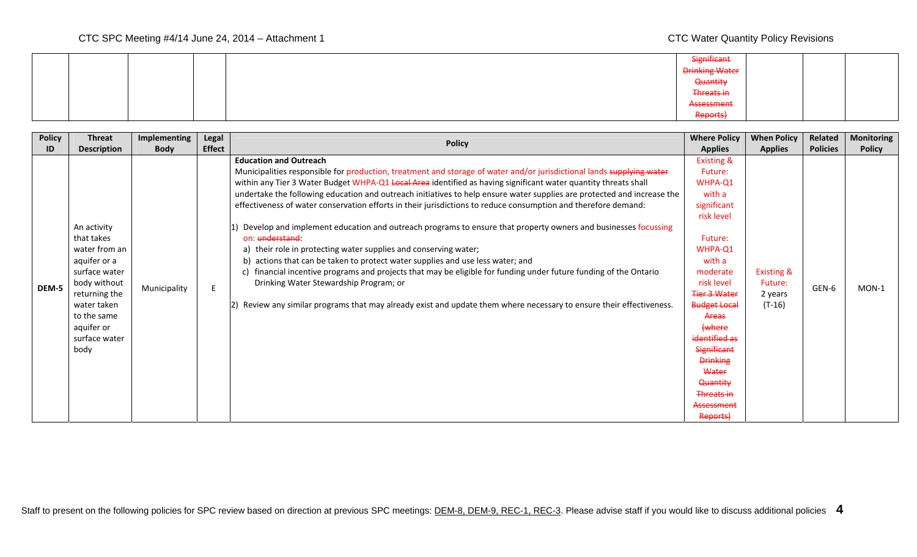|  | Significant           |  |  |
|--|-----------------------|--|--|
|  | <b>Drinking Water</b> |  |  |
|  | Quantity              |  |  |
|  | Threats in            |  |  |
|  | Assessment            |  |  |
|  | Reports)              |  |  |

| <b>Policy</b> | <b>Threat</b>                                                                                                                                                                     | Implementing | <b>Legal</b>  | <b>Policy</b>                                                                                                                                                                                                                                                                                                                                                                                                                                                                                                                                                                                                                                                                                                                                                                                                                                                                                                                                                                                                                                                                                        | <b>Where Policy</b>                                                                                                                                                                                                                                                                                                                  | <b>When Policy</b>                                      | Related         | <b>Monitoring</b> |
|---------------|-----------------------------------------------------------------------------------------------------------------------------------------------------------------------------------|--------------|---------------|------------------------------------------------------------------------------------------------------------------------------------------------------------------------------------------------------------------------------------------------------------------------------------------------------------------------------------------------------------------------------------------------------------------------------------------------------------------------------------------------------------------------------------------------------------------------------------------------------------------------------------------------------------------------------------------------------------------------------------------------------------------------------------------------------------------------------------------------------------------------------------------------------------------------------------------------------------------------------------------------------------------------------------------------------------------------------------------------------|--------------------------------------------------------------------------------------------------------------------------------------------------------------------------------------------------------------------------------------------------------------------------------------------------------------------------------------|---------------------------------------------------------|-----------------|-------------------|
| ID            | <b>Description</b>                                                                                                                                                                | <b>Body</b>  | <b>Effect</b> |                                                                                                                                                                                                                                                                                                                                                                                                                                                                                                                                                                                                                                                                                                                                                                                                                                                                                                                                                                                                                                                                                                      | <b>Applies</b>                                                                                                                                                                                                                                                                                                                       | <b>Applies</b>                                          | <b>Policies</b> | <b>Policy</b>     |
| DEM-5         | An activity<br>that takes<br>water from an<br>aquifer or a<br>surface water<br>body without<br>returning the<br>water taken<br>to the same<br>aquifer or<br>surface water<br>body | Municipality |               | <b>Education and Outreach</b><br>Municipalities responsible for production, treatment and storage of water and/or jurisdictional lands supplying water<br>within any Tier 3 Water Budget WHPA-Q1 Local Area identified as having significant water quantity threats shall<br>undertake the following education and outreach initiatives to help ensure water supplies are protected and increase the<br>effectiveness of water conservation efforts in their jurisdictions to reduce consumption and therefore demand:<br>Develop and implement education and outreach programs to ensure that property owners and businesses focussing<br>on: understand:<br>their role in protecting water supplies and conserving water;<br>a)<br>b) actions that can be taken to protect water supplies and use less water; and<br>financial incentive programs and projects that may be eligible for funding under future funding of the Ontario<br>Drinking Water Stewardship Program; or<br>Review any similar programs that may already exist and update them where necessary to ensure their effectiveness. | <b>Existing &amp;</b><br>Future:<br>WHPA-Q1<br>with a<br>significant<br>risk level<br>Future:<br>WHPA-Q1<br>with a<br>moderate<br>risk level<br>Tier 3 Water<br><b>Budget Local</b><br>Areas<br>(where<br>identified as<br><b>Significant</b><br><b>Drinking</b><br>Water<br>Quantity<br><b>Threats in</b><br>Assessment<br>Reports) | <b>Existing &amp;</b><br>Future:<br>2 years<br>$(T-16)$ | GEN-6           | $MON-1$           |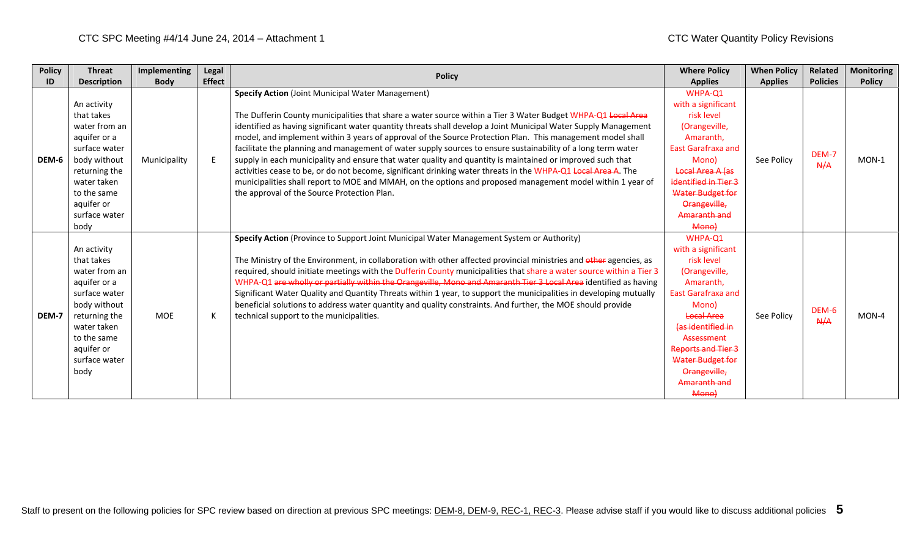| <b>Policy</b> | <b>Threat</b>                                                                                                                                                                     | Implementing | Legal         | <b>Policy</b>                                                                                                                                                                                                                                                                                                                                                                                                                                                                                                                                                                                                                                                                                                                                                                                                                                                                                                         | <b>Where Policy</b>                                                                                                                                                                                                                                        | <b>When Policy</b> | <b>Related</b>  | <b>Monitoring</b> |
|---------------|-----------------------------------------------------------------------------------------------------------------------------------------------------------------------------------|--------------|---------------|-----------------------------------------------------------------------------------------------------------------------------------------------------------------------------------------------------------------------------------------------------------------------------------------------------------------------------------------------------------------------------------------------------------------------------------------------------------------------------------------------------------------------------------------------------------------------------------------------------------------------------------------------------------------------------------------------------------------------------------------------------------------------------------------------------------------------------------------------------------------------------------------------------------------------|------------------------------------------------------------------------------------------------------------------------------------------------------------------------------------------------------------------------------------------------------------|--------------------|-----------------|-------------------|
| ID            | <b>Description</b>                                                                                                                                                                | <b>Body</b>  | <b>Effect</b> |                                                                                                                                                                                                                                                                                                                                                                                                                                                                                                                                                                                                                                                                                                                                                                                                                                                                                                                       | <b>Applies</b>                                                                                                                                                                                                                                             | <b>Applies</b>     | <b>Policies</b> | <b>Policy</b>     |
| DEM-6         | An activity<br>that takes<br>water from an<br>aquifer or a<br>surface water<br>body without<br>returning the<br>water taken<br>to the same<br>aquifer or<br>surface water<br>body | Municipality |               | <b>Specify Action (Joint Municipal Water Management)</b><br>The Dufferin County municipalities that share a water source within a Tier 3 Water Budget WHPA-Q1 Local Area<br>identified as having significant water quantity threats shall develop a Joint Municipal Water Supply Management<br>model, and implement within 3 years of approval of the Source Protection Plan. This management model shall<br>facilitate the planning and management of water supply sources to ensure sustainability of a long term water<br>supply in each municipality and ensure that water quality and quantity is maintained or improved such that<br>activities cease to be, or do not become, significant drinking water threats in the WHPA-Q1 Local Area A. The<br>municipalities shall report to MOE and MMAH, on the options and proposed management model within 1 year of<br>the approval of the Source Protection Plan. | WHPA-Q1<br>with a significant<br>risk level<br>(Orangeville,<br>Amaranth.<br><b>East Garafraxa and</b><br>Mono)<br>Local Area A las<br>identified in Tier 3<br>Water Budget for<br>Orangeville,<br>Amaranth and<br>Mono)                                   | See Policy         | DEM-7<br>A/A    | $MON-1$           |
| DEM-7         | An activity<br>that takes<br>water from an<br>aquifer or a<br>surface water<br>body without<br>returning the<br>water taken<br>to the same<br>aquifer or<br>surface water<br>body | <b>MOE</b>   |               | Specify Action (Province to Support Joint Municipal Water Management System or Authority)<br>The Ministry of the Environment, in collaboration with other affected provincial ministries and other agencies, as<br>required, should initiate meetings with the Dufferin County municipalities that share a water source within a Tier 3<br>WHPA-Q1 are wholly or partially within the Orangeville, Mono and Amaranth Tier 3 Local Area identified as having<br>Significant Water Quality and Quantity Threats within 1 year, to support the municipalities in developing mutually<br>beneficial solutions to address water quantity and quality constraints. And further, the MOE should provide<br>technical support to the municipalities.                                                                                                                                                                          | WHPA-Q1<br>with a significant<br>risk level<br>(Orangeville,<br>Amaranth,<br><b>East Garafraxa and</b><br>Mono)<br>Local Area<br>(as identified in<br>Assessment<br>Reports and Tier 3<br><b>Water Budget for</b><br>Orangeville,<br>Amaranth and<br>Mono) | See Policy         | DEM-6<br>A/A    | $MON-4$           |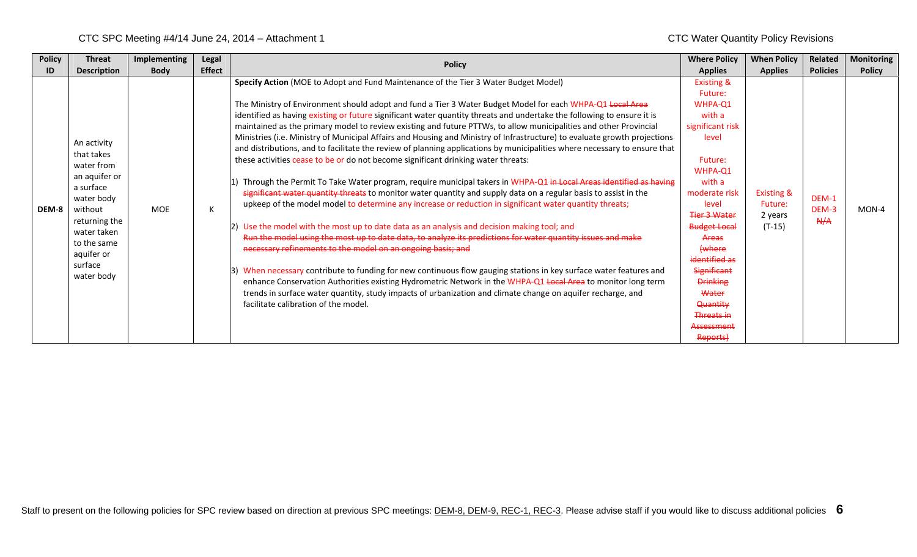| <b>Policy</b> | <b>Threat</b>                                                                                                                                                                        | Implementing | Legal         | <b>Policy</b>                                                                                                                                                                                                                                                                                                                                                                                                                                                                                                                                                                                                                                                                                                                                                                                                                                                                                                                                                                                                                                                                                                                                                                                                                                                                                                                                                                                                                                                                                                                                                                                                                                                                                                                                                                                                             | <b>Where Policy</b>                                                                                                                                                                                                                                                                                                                                | <b>When Policy</b>                                      | Related               | <b>Monitoring</b> |
|---------------|--------------------------------------------------------------------------------------------------------------------------------------------------------------------------------------|--------------|---------------|---------------------------------------------------------------------------------------------------------------------------------------------------------------------------------------------------------------------------------------------------------------------------------------------------------------------------------------------------------------------------------------------------------------------------------------------------------------------------------------------------------------------------------------------------------------------------------------------------------------------------------------------------------------------------------------------------------------------------------------------------------------------------------------------------------------------------------------------------------------------------------------------------------------------------------------------------------------------------------------------------------------------------------------------------------------------------------------------------------------------------------------------------------------------------------------------------------------------------------------------------------------------------------------------------------------------------------------------------------------------------------------------------------------------------------------------------------------------------------------------------------------------------------------------------------------------------------------------------------------------------------------------------------------------------------------------------------------------------------------------------------------------------------------------------------------------------|----------------------------------------------------------------------------------------------------------------------------------------------------------------------------------------------------------------------------------------------------------------------------------------------------------------------------------------------------|---------------------------------------------------------|-----------------------|-------------------|
| ID            | <b>Description</b>                                                                                                                                                                   | <b>Body</b>  | <b>Effect</b> |                                                                                                                                                                                                                                                                                                                                                                                                                                                                                                                                                                                                                                                                                                                                                                                                                                                                                                                                                                                                                                                                                                                                                                                                                                                                                                                                                                                                                                                                                                                                                                                                                                                                                                                                                                                                                           | <b>Applies</b>                                                                                                                                                                                                                                                                                                                                     | <b>Applies</b>                                          | <b>Policies</b>       | <b>Policy</b>     |
| DEM-8         | An activity<br>that takes<br>water from<br>an aquifer or<br>a surface<br>water body<br>without<br>returning the<br>water taken<br>to the same<br>aquifer or<br>surface<br>water body | <b>MOE</b>   | К             | Specify Action (MOE to Adopt and Fund Maintenance of the Tier 3 Water Budget Model)<br>The Ministry of Environment should adopt and fund a Tier 3 Water Budget Model for each WHPA-Q1 Local Area<br>identified as having existing or future significant water quantity threats and undertake the following to ensure it is<br>maintained as the primary model to review existing and future PTTWs, to allow municipalities and other Provincial<br>Ministries (i.e. Ministry of Municipal Affairs and Housing and Ministry of Infrastructure) to evaluate growth projections<br>and distributions, and to facilitate the review of planning applications by municipalities where necessary to ensure that<br>these activities cease to be or do not become significant drinking water threats:<br>Through the Permit To Take Water program, require municipal takers in WHPA-Q1 in Local Areas identified as having<br>significant water quantity threats to monitor water quantity and supply data on a regular basis to assist in the<br>upkeep of the model model to determine any increase or reduction in significant water quantity threats;<br>Use the model with the most up to date data as an analysis and decision making tool; and<br>Run the model using the most up to date data, to analyze its predictions for water quantity issues and make<br>necessary refinements to the model on an ongoing basis; and<br>3) When necessary contribute to funding for new continuous flow gauging stations in key surface water features and<br>enhance Conservation Authorities existing Hydrometric Network in the WHPA-Q1 Local Area to monitor long term<br>trends in surface water quantity, study impacts of urbanization and climate change on aquifer recharge, and<br>facilitate calibration of the model. | <b>Existing &amp;</b><br>Future:<br>WHPA-O1<br>with a<br>significant risk<br>level<br>Future:<br>WHPA-Q1<br>with a<br>moderate risk<br>level<br><b>Tier 3 Water</b><br><b>Budget Local</b><br>Areas<br>(where<br>identified as<br><b>Significant</b><br><b>Drinking</b><br>Water<br><b>Quantity</b><br><b>Threats in</b><br>Assessment<br>Reports) | <b>Existing &amp;</b><br>Future:<br>2 years<br>$(T-15)$ | DEM-1<br>DEM-3<br>A/A | $MON-4$           |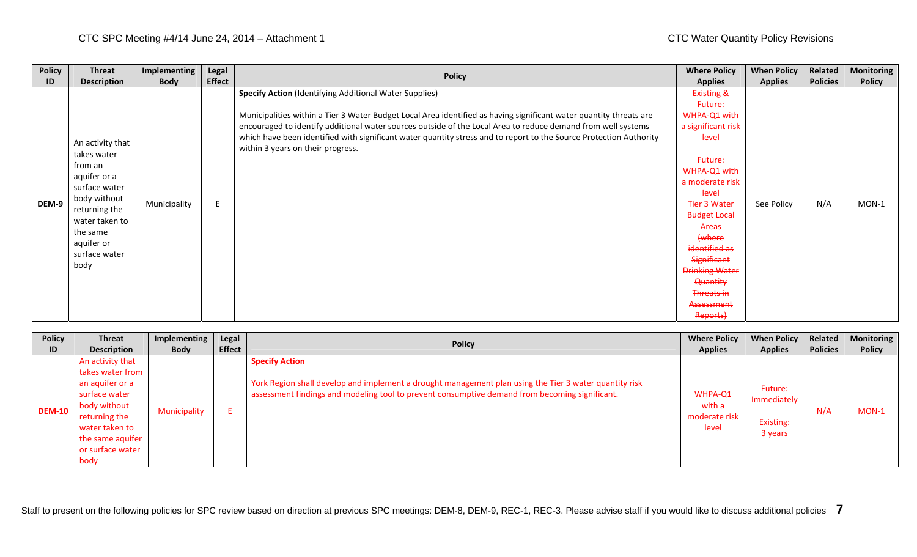| <b>Policy</b> | <b>Threat</b>                                                                                                                                                                     | Implementing | Legal         |                                                                                                                                                                                                                                                                                                                                                                                                                                                                | <b>Where Policy</b>                                                                                                                                                                                                                                                                                                         | <b>When Policy</b> | Related         | <b>Monitoring</b> |
|---------------|-----------------------------------------------------------------------------------------------------------------------------------------------------------------------------------|--------------|---------------|----------------------------------------------------------------------------------------------------------------------------------------------------------------------------------------------------------------------------------------------------------------------------------------------------------------------------------------------------------------------------------------------------------------------------------------------------------------|-----------------------------------------------------------------------------------------------------------------------------------------------------------------------------------------------------------------------------------------------------------------------------------------------------------------------------|--------------------|-----------------|-------------------|
| ID            | <b>Description</b>                                                                                                                                                                | <b>Body</b>  | <b>Effect</b> | <b>Policy</b>                                                                                                                                                                                                                                                                                                                                                                                                                                                  | <b>Applies</b>                                                                                                                                                                                                                                                                                                              | <b>Applies</b>     | <b>Policies</b> | <b>Policy</b>     |
| DEM-9         | An activity that<br>takes water<br>from an<br>aquifer or a<br>surface water<br>body without<br>returning the<br>water taken to<br>the same<br>aquifer or<br>surface water<br>body | Municipality | E             | <b>Specify Action (Identifying Additional Water Supplies)</b><br>Municipalities within a Tier 3 Water Budget Local Area identified as having significant water quantity threats are<br>encouraged to identify additional water sources outside of the Local Area to reduce demand from well systems<br>which have been identified with significant water quantity stress and to report to the Source Protection Authority<br>within 3 years on their progress. | <b>Existing &amp;</b><br>Future:<br>WHPA-Q1 with<br>a significant risk<br>level<br>Future:<br>WHPA-Q1 with<br>a moderate risk<br>level<br><b>Tier 3 Water</b><br><b>Budget Local</b><br>Areas<br>(where<br>identified as<br>Significant<br><b>Drinking Water</b><br><b>Quantity</b><br>Threats in<br>Assessment<br>Reports) | See Policy         | N/A             | $MON-1$           |

| <b>Policy</b> | <b>Threat</b>                                                                                                                                                               | Implementing | Legal         |                                                                                                                                                                                                                                   | <b>Where Policy</b>                         | <b>When Policy</b>                             | Related         | <b>Monitoring</b> |
|---------------|-----------------------------------------------------------------------------------------------------------------------------------------------------------------------------|--------------|---------------|-----------------------------------------------------------------------------------------------------------------------------------------------------------------------------------------------------------------------------------|---------------------------------------------|------------------------------------------------|-----------------|-------------------|
| ID            | <b>Description</b>                                                                                                                                                          | <b>Body</b>  | <b>Effect</b> | <b>Policy</b>                                                                                                                                                                                                                     | <b>Applies</b>                              | <b>Applies</b>                                 | <b>Policies</b> | <b>Policy</b>     |
| <b>DEM-10</b> | An activity that<br>takes water from<br>an aquifer or a<br>surface water<br>body without<br>returning the<br>water taken to<br>the same aquifer<br>or surface water<br>body | Municipality |               | <b>Specify Action</b><br>York Region shall develop and implement a drought management plan using the Tier 3 water quantity risk<br>assessment findings and modeling tool to prevent consumptive demand from becoming significant. | WHPA-Q1<br>with a<br>moderate risk<br>level | Future:<br>Immediately<br>Existing:<br>3 years | N/A             | $MON-1$           |

Staff to present on the following policies for SPC review based on direction at previous SPC meetings: DEM-8, DEM-9, REC-1, REC-3. Please advise staff if you would like to discuss additional policies **7**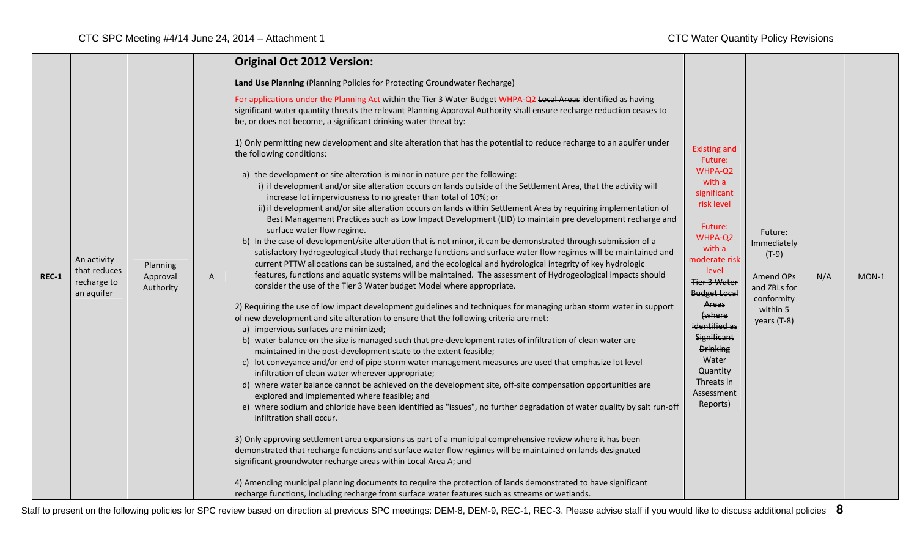|              |                                                          |                                   |   | <b>Original Oct 2012 Version:</b>                                                                                                                                                                                                                                                                                                                                                                                                                                                                                                                                                                                                                                                                                                                                                                                                                                                                                                                                                                                                                                                                                                                                                                                                                                                                                                                                                                                                                                                                                                                                                                                                                                                                                                                                                                                                                                                                                                                                                                                                                                                                                                                                                                                                                                                                                                                                                                                                                            |                                                                                                                                                                                                                                                                                                                             |                                                                                                         |     |       |
|--------------|----------------------------------------------------------|-----------------------------------|---|--------------------------------------------------------------------------------------------------------------------------------------------------------------------------------------------------------------------------------------------------------------------------------------------------------------------------------------------------------------------------------------------------------------------------------------------------------------------------------------------------------------------------------------------------------------------------------------------------------------------------------------------------------------------------------------------------------------------------------------------------------------------------------------------------------------------------------------------------------------------------------------------------------------------------------------------------------------------------------------------------------------------------------------------------------------------------------------------------------------------------------------------------------------------------------------------------------------------------------------------------------------------------------------------------------------------------------------------------------------------------------------------------------------------------------------------------------------------------------------------------------------------------------------------------------------------------------------------------------------------------------------------------------------------------------------------------------------------------------------------------------------------------------------------------------------------------------------------------------------------------------------------------------------------------------------------------------------------------------------------------------------------------------------------------------------------------------------------------------------------------------------------------------------------------------------------------------------------------------------------------------------------------------------------------------------------------------------------------------------------------------------------------------------------------------------------------------------|-----------------------------------------------------------------------------------------------------------------------------------------------------------------------------------------------------------------------------------------------------------------------------------------------------------------------------|---------------------------------------------------------------------------------------------------------|-----|-------|
|              |                                                          |                                   |   | Land Use Planning (Planning Policies for Protecting Groundwater Recharge)<br>For applications under the Planning Act within the Tier 3 Water Budget WHPA-Q2 Local Areas identified as having                                                                                                                                                                                                                                                                                                                                                                                                                                                                                                                                                                                                                                                                                                                                                                                                                                                                                                                                                                                                                                                                                                                                                                                                                                                                                                                                                                                                                                                                                                                                                                                                                                                                                                                                                                                                                                                                                                                                                                                                                                                                                                                                                                                                                                                                 |                                                                                                                                                                                                                                                                                                                             |                                                                                                         |     |       |
|              |                                                          |                                   |   | significant water quantity threats the relevant Planning Approval Authority shall ensure recharge reduction ceases to<br>be, or does not become, a significant drinking water threat by:                                                                                                                                                                                                                                                                                                                                                                                                                                                                                                                                                                                                                                                                                                                                                                                                                                                                                                                                                                                                                                                                                                                                                                                                                                                                                                                                                                                                                                                                                                                                                                                                                                                                                                                                                                                                                                                                                                                                                                                                                                                                                                                                                                                                                                                                     |                                                                                                                                                                                                                                                                                                                             |                                                                                                         |     |       |
| <b>REC-1</b> | An activity<br>that reduces<br>recharge to<br>an aquifer | Planning<br>Approval<br>Authority | A | 1) Only permitting new development and site alteration that has the potential to reduce recharge to an aquifer under<br>the following conditions:<br>a) the development or site alteration is minor in nature per the following:<br>i) if development and/or site alteration occurs on lands outside of the Settlement Area, that the activity will<br>increase lot imperviousness to no greater than total of 10%; or<br>ii) if development and/or site alteration occurs on lands within Settlement Area by requiring implementation of<br>Best Management Practices such as Low Impact Development (LID) to maintain pre development recharge and<br>surface water flow regime.<br>b) In the case of development/site alteration that is not minor, it can be demonstrated through submission of a<br>satisfactory hydrogeological study that recharge functions and surface water flow regimes will be maintained and<br>current PTTW allocations can be sustained, and the ecological and hydrological integrity of key hydrologic<br>features, functions and aquatic systems will be maintained. The assessment of Hydrogeological impacts should<br>consider the use of the Tier 3 Water budget Model where appropriate.<br>2) Requiring the use of low impact development guidelines and techniques for managing urban storm water in support<br>of new development and site alteration to ensure that the following criteria are met:<br>a) impervious surfaces are minimized;<br>b) water balance on the site is managed such that pre-development rates of infiltration of clean water are<br>maintained in the post-development state to the extent feasible;<br>c) lot conveyance and/or end of pipe storm water management measures are used that emphasize lot level<br>infiltration of clean water wherever appropriate;<br>d) where water balance cannot be achieved on the development site, off-site compensation opportunities are<br>explored and implemented where feasible; and<br>e) where sodium and chloride have been identified as "issues", no further degradation of water quality by salt run-off<br>infiltration shall occur.<br>3) Only approving settlement area expansions as part of a municipal comprehensive review where it has been<br>demonstrated that recharge functions and surface water flow regimes will be maintained on lands designated<br>significant groundwater recharge areas within Local Area A; and | <b>Existing and</b><br>Future:<br>WHPA-Q2<br>with a<br>significant<br>risk level<br>Future:<br>WHPA-Q2<br>with a<br>moderate risk<br>level<br>Tier 3 Water<br><b>Budget Local</b><br>Areas<br>(where<br>identified as<br>Significant<br><b>Drinking</b><br>Water<br>Quantity<br>Threats in<br><b>Assessment</b><br>Reports) | Future:<br>Immediately<br>$(T-9)$<br>Amend OPs<br>and ZBLs for<br>conformity<br>within 5<br>years (T-8) | N/A | MON-1 |
|              |                                                          |                                   |   | 4) Amending municipal planning documents to require the protection of lands demonstrated to have significant<br>recharge functions, including recharge from surface water features such as streams or wetlands.                                                                                                                                                                                                                                                                                                                                                                                                                                                                                                                                                                                                                                                                                                                                                                                                                                                                                                                                                                                                                                                                                                                                                                                                                                                                                                                                                                                                                                                                                                                                                                                                                                                                                                                                                                                                                                                                                                                                                                                                                                                                                                                                                                                                                                              |                                                                                                                                                                                                                                                                                                                             |                                                                                                         |     |       |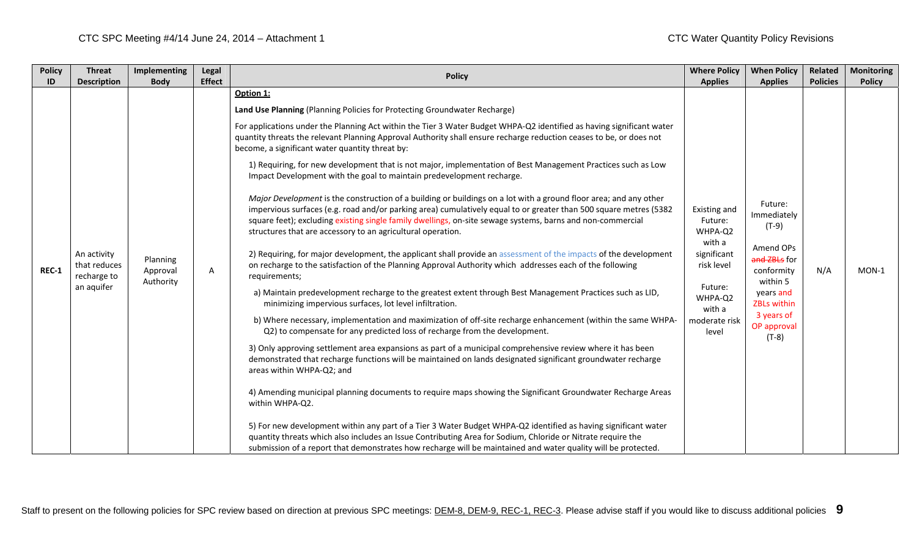| <b>Policy</b><br>ID | <b>Threat</b><br><b>Description</b>        | Implementing<br><b>Body</b>       | Legal<br><b>Effect</b> | <b>Policy</b>                                                                                                                                                                                                                                                                                                                                                                                                       | <b>Where Policy</b><br><b>Applies</b>                                                                              | <b>When Policy</b><br><b>Applies</b>                | Related<br><b>Policies</b> | <b>Monitoring</b><br><b>Policy</b> |
|---------------------|--------------------------------------------|-----------------------------------|------------------------|---------------------------------------------------------------------------------------------------------------------------------------------------------------------------------------------------------------------------------------------------------------------------------------------------------------------------------------------------------------------------------------------------------------------|--------------------------------------------------------------------------------------------------------------------|-----------------------------------------------------|----------------------------|------------------------------------|
|                     |                                            |                                   |                        | Option 1:                                                                                                                                                                                                                                                                                                                                                                                                           |                                                                                                                    |                                                     |                            |                                    |
|                     |                                            |                                   |                        | Land Use Planning (Planning Policies for Protecting Groundwater Recharge)                                                                                                                                                                                                                                                                                                                                           | Existing and<br>Future:<br>WHPA-Q2<br>with a<br>significant<br>risk level<br>Future:<br>WHPA-Q2<br>with a<br>level |                                                     |                            |                                    |
|                     |                                            |                                   |                        | For applications under the Planning Act within the Tier 3 Water Budget WHPA-Q2 identified as having significant water<br>quantity threats the relevant Planning Approval Authority shall ensure recharge reduction ceases to be, or does not<br>become, a significant water quantity threat by:                                                                                                                     |                                                                                                                    |                                                     |                            |                                    |
|                     |                                            |                                   |                        | 1) Requiring, for new development that is not major, implementation of Best Management Practices such as Low<br>Impact Development with the goal to maintain predevelopment recharge.                                                                                                                                                                                                                               |                                                                                                                    |                                                     |                            |                                    |
|                     |                                            |                                   |                        | Major Development is the construction of a building or buildings on a lot with a ground floor area; and any other<br>impervious surfaces (e.g. road and/or parking area) cumulatively equal to or greater than 500 square metres (5382<br>square feet); excluding existing single family dwellings, on-site sewage systems, barns and non-commercial<br>structures that are accessory to an agricultural operation. |                                                                                                                    | Future:<br>Immediately<br>$(T-9)$                   |                            |                                    |
| <b>REC-1</b>        | An activity<br>that reduces<br>recharge to | Planning<br>Approval<br>Authority | A                      | 2) Requiring, for major development, the applicant shall provide an assessment of the impacts of the development<br>on recharge to the satisfaction of the Planning Approval Authority which addresses each of the following<br>requirements;                                                                                                                                                                       |                                                                                                                    | Amend OPs<br>and ZBLs for<br>conformity<br>within 5 | N/A                        | $MON-1$                            |
|                     | an aquifer                                 |                                   |                        | a) Maintain predevelopment recharge to the greatest extent through Best Management Practices such as LID,<br>minimizing impervious surfaces, lot level infiltration.                                                                                                                                                                                                                                                |                                                                                                                    | years and<br><b>ZBLs within</b>                     |                            |                                    |
|                     |                                            |                                   |                        | b) Where necessary, implementation and maximization of off-site recharge enhancement (within the same WHPA-<br>Q2) to compensate for any predicted loss of recharge from the development.                                                                                                                                                                                                                           | moderate risk                                                                                                      | 3 years of<br>OP approval<br>(T-8)                  |                            |                                    |
|                     |                                            |                                   |                        | 3) Only approving settlement area expansions as part of a municipal comprehensive review where it has been<br>demonstrated that recharge functions will be maintained on lands designated significant groundwater recharge<br>areas within WHPA-Q2; and                                                                                                                                                             |                                                                                                                    |                                                     |                            |                                    |
|                     |                                            |                                   |                        | 4) Amending municipal planning documents to require maps showing the Significant Groundwater Recharge Areas<br>within WHPA-Q2.                                                                                                                                                                                                                                                                                      |                                                                                                                    |                                                     |                            |                                    |
|                     |                                            |                                   |                        | 5) For new development within any part of a Tier 3 Water Budget WHPA-Q2 identified as having significant water<br>quantity threats which also includes an Issue Contributing Area for Sodium, Chloride or Nitrate require the<br>submission of a report that demonstrates how recharge will be maintained and water quality will be protected.                                                                      |                                                                                                                    |                                                     |                            |                                    |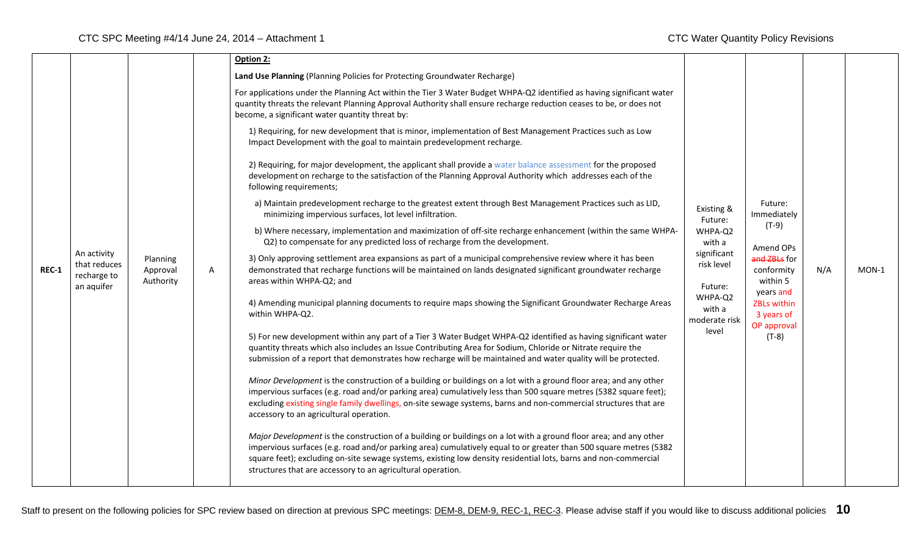|         |                                                          |                                                                                                                                                                                                                                                                                                                      | Option 2:                                                                                                                                                                                                                                                                                                                                                                                                                |                                        |                                                                         |         |  |
|---------|----------------------------------------------------------|----------------------------------------------------------------------------------------------------------------------------------------------------------------------------------------------------------------------------------------------------------------------------------------------------------------------|--------------------------------------------------------------------------------------------------------------------------------------------------------------------------------------------------------------------------------------------------------------------------------------------------------------------------------------------------------------------------------------------------------------------------|----------------------------------------|-------------------------------------------------------------------------|---------|--|
|         |                                                          |                                                                                                                                                                                                                                                                                                                      | Land Use Planning (Planning Policies for Protecting Groundwater Recharge)                                                                                                                                                                                                                                                                                                                                                |                                        |                                                                         |         |  |
|         |                                                          |                                                                                                                                                                                                                                                                                                                      | For applications under the Planning Act within the Tier 3 Water Budget WHPA-Q2 identified as having significant water<br>quantity threats the relevant Planning Approval Authority shall ensure recharge reduction ceases to be, or does not<br>become, a significant water quantity threat by:                                                                                                                          |                                        |                                                                         |         |  |
|         |                                                          |                                                                                                                                                                                                                                                                                                                      | 1) Requiring, for new development that is minor, implementation of Best Management Practices such as Low<br>Impact Development with the goal to maintain predevelopment recharge.                                                                                                                                                                                                                                        |                                        |                                                                         |         |  |
|         |                                                          |                                                                                                                                                                                                                                                                                                                      | 2) Requiring, for major development, the applicant shall provide a water balance assessment for the proposed<br>development on recharge to the satisfaction of the Planning Approval Authority which addresses each of the<br>following requirements;                                                                                                                                                                    |                                        |                                                                         |         |  |
|         |                                                          |                                                                                                                                                                                                                                                                                                                      | a) Maintain predevelopment recharge to the greatest extent through Best Management Practices such as LID,<br>minimizing impervious surfaces, lot level infiltration.                                                                                                                                                                                                                                                     | Existing &<br>Future:                  | Future:<br>Immediately                                                  |         |  |
| $REC-1$ |                                                          |                                                                                                                                                                                                                                                                                                                      | b) Where necessary, implementation and maximization of off-site recharge enhancement (within the same WHPA-<br>Q2) to compensate for any predicted loss of recharge from the development.                                                                                                                                                                                                                                | WHPA-Q2<br>with a                      | $(T-9)$<br>Amend OPs                                                    |         |  |
|         | An activity<br>that reduces<br>recharge to<br>an aquifer | 3) Only approving settlement area expansions as part of a municipal comprehensive review where it has been<br>Planning<br>demonstrated that recharge functions will be maintained on lands designated significant groundwater recharge<br>Approval<br>A<br>areas within WHPA-Q2; and<br>Authority<br>within WHPA-Q2. | significant<br>risk level<br>Future:                                                                                                                                                                                                                                                                                                                                                                                     | and ZBLs for<br>conformity<br>within 5 | N/A                                                                     | $MON-1$ |  |
|         |                                                          |                                                                                                                                                                                                                                                                                                                      | 4) Amending municipal planning documents to require maps showing the Significant Groundwater Recharge Areas                                                                                                                                                                                                                                                                                                              | WHPA-Q2<br>with a<br>moderate risk     | years and<br><b>ZBLs within</b><br>3 years of<br>OP approval<br>$(T-8)$ |         |  |
|         |                                                          |                                                                                                                                                                                                                                                                                                                      | 5) For new development within any part of a Tier 3 Water Budget WHPA-Q2 identified as having significant water<br>quantity threats which also includes an Issue Contributing Area for Sodium, Chloride or Nitrate require the<br>submission of a report that demonstrates how recharge will be maintained and water quality will be protected.                                                                           | level                                  |                                                                         |         |  |
|         |                                                          |                                                                                                                                                                                                                                                                                                                      | Minor Development is the construction of a building or buildings on a lot with a ground floor area; and any other<br>impervious surfaces (e.g. road and/or parking area) cumulatively less than 500 square metres (5382 square feet);<br>excluding existing single family dwellings, on-site sewage systems, barns and non-commercial structures that are<br>accessory to an agricultural operation.                     |                                        |                                                                         |         |  |
|         |                                                          |                                                                                                                                                                                                                                                                                                                      | Major Development is the construction of a building or buildings on a lot with a ground floor area; and any other<br>impervious surfaces (e.g. road and/or parking area) cumulatively equal to or greater than 500 square metres (5382<br>square feet); excluding on-site sewage systems, existing low density residential lots, barns and non-commercial<br>structures that are accessory to an agricultural operation. |                                        |                                                                         |         |  |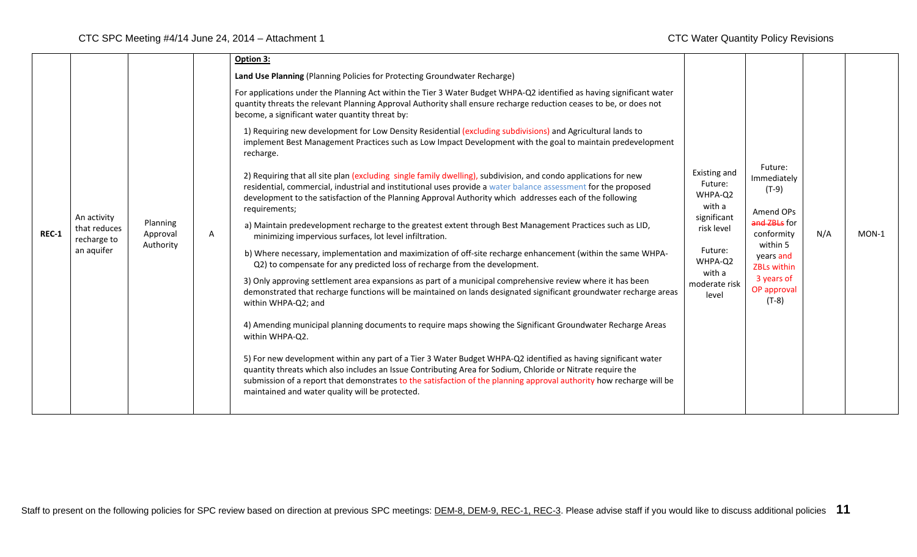|              |                                                          |                                   |   | Option 3:                                                                                                                                                                                                                                                                                                                                                                                                |                                                                                                                                     |                                                                                                                                                              |     |         |
|--------------|----------------------------------------------------------|-----------------------------------|---|----------------------------------------------------------------------------------------------------------------------------------------------------------------------------------------------------------------------------------------------------------------------------------------------------------------------------------------------------------------------------------------------------------|-------------------------------------------------------------------------------------------------------------------------------------|--------------------------------------------------------------------------------------------------------------------------------------------------------------|-----|---------|
|              |                                                          |                                   |   | Land Use Planning (Planning Policies for Protecting Groundwater Recharge)                                                                                                                                                                                                                                                                                                                                |                                                                                                                                     |                                                                                                                                                              |     |         |
| <b>REC-1</b> | An activity<br>that reduces<br>recharge to<br>an aquifer |                                   |   | For applications under the Planning Act within the Tier 3 Water Budget WHPA-Q2 identified as having significant water<br>quantity threats the relevant Planning Approval Authority shall ensure recharge reduction ceases to be, or does not<br>become, a significant water quantity threat by:                                                                                                          | Existing and<br>Future:<br>WHPA-Q2<br>with a<br>significant<br>risk level<br>Future:<br>WHPA-Q2<br>with a<br>moderate risk<br>level | Future:<br>Immediately<br>$(T-9)$<br>Amend OPs<br>and ZBLs for<br>conformity<br>within 5<br>years and<br>ZBLs within<br>3 years of<br>OP approval<br>$(T-8)$ | N/A | $MON-1$ |
|              |                                                          |                                   |   | 1) Requiring new development for Low Density Residential (excluding subdivisions) and Agricultural lands to<br>implement Best Management Practices such as Low Impact Development with the goal to maintain predevelopment<br>recharge.                                                                                                                                                                  |                                                                                                                                     |                                                                                                                                                              |     |         |
|              |                                                          |                                   |   | 2) Requiring that all site plan (excluding single family dwelling), subdivision, and condo applications for new<br>residential, commercial, industrial and institutional uses provide a water balance assessment for the proposed<br>development to the satisfaction of the Planning Approval Authority which addresses each of the following<br>requirements;                                           |                                                                                                                                     |                                                                                                                                                              |     |         |
|              |                                                          | Planning<br>Approval<br>Authority | Α | a) Maintain predevelopment recharge to the greatest extent through Best Management Practices such as LID,<br>minimizing impervious surfaces, lot level infiltration.                                                                                                                                                                                                                                     |                                                                                                                                     |                                                                                                                                                              |     |         |
|              |                                                          |                                   |   | b) Where necessary, implementation and maximization of off-site recharge enhancement (within the same WHPA-<br>Q2) to compensate for any predicted loss of recharge from the development.                                                                                                                                                                                                                |                                                                                                                                     |                                                                                                                                                              |     |         |
|              |                                                          |                                   |   | 3) Only approving settlement area expansions as part of a municipal comprehensive review where it has been<br>demonstrated that recharge functions will be maintained on lands designated significant groundwater recharge areas<br>within WHPA-Q2; and                                                                                                                                                  |                                                                                                                                     |                                                                                                                                                              |     |         |
|              |                                                          |                                   |   | 4) Amending municipal planning documents to require maps showing the Significant Groundwater Recharge Areas<br>within WHPA-Q2.                                                                                                                                                                                                                                                                           |                                                                                                                                     |                                                                                                                                                              |     |         |
|              |                                                          |                                   |   | 5) For new development within any part of a Tier 3 Water Budget WHPA-Q2 identified as having significant water<br>quantity threats which also includes an Issue Contributing Area for Sodium, Chloride or Nitrate require the<br>submission of a report that demonstrates to the satisfaction of the planning approval authority how recharge will be<br>maintained and water quality will be protected. |                                                                                                                                     |                                                                                                                                                              |     |         |